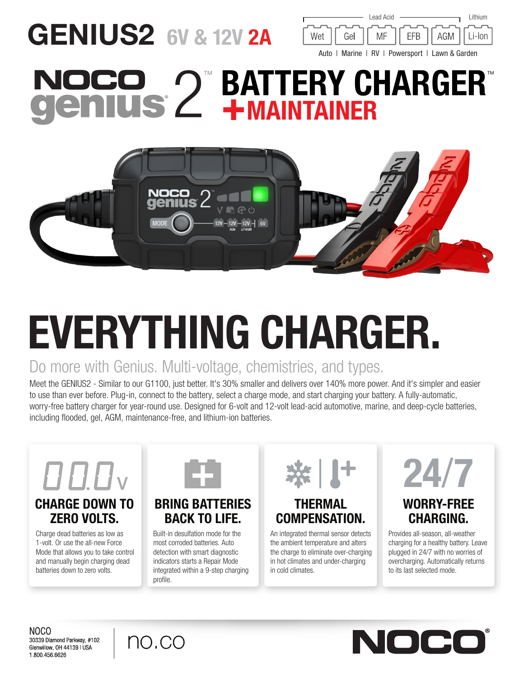## GENIUS2 6V & 12V 2A



## **BATTERY CHARGER®** +MAINTAINER



# EVERYTHING CHARGER.

### Do more with Genius. Multi-voltage, chemistries, and types.

Meet the GENIUS2 - Similar to our G1100, just better. It's 30% smaller and delivers over 140% more power. And it's simpler and easier to use than ever before. Plug-in, connect to the battery, select a charge mode, and start charging your battery. A fully-automatic, worry-free battery charger for year-round use. Designed for 6-volt and 12-volt lead-acid automotive, marine, and deep-cycle batteries, including flooded, gel, AGM, maintenance-free, and lithium-ion batteries.



#### CHARGE DOWN TO ZERO VOLTS.

Charge dead batteries as low as 1-volt. Or use the all-new Force Mode that allows you to take control and manually begin charging dead batteries down to zero volts.



#### BRING BATTERIES BACK TO LIFE.

Built-in desulfation mode for the most corroded batteries. Auto detection with smart diagnostic indicators starts a Repair Mode integrated within a 9-step charging profile.



#### THERMAL COMPENSATION.

An integrated thermal sensor detects the ambient temperature and alters the charge to eliminate over-charging in hot climates and under-charging in cold climates.



#### WORRY-FREE CHARGING.

Provides all-season, all-weather charging for a healthy battery. Leave plugged in 24/7 with no worries of overcharging. Automatically returns to its last selected mode.

NOCO 30339 Diamond Parkway, #102 Glenwillow, OH 44139 | USA 1.800.456.6626